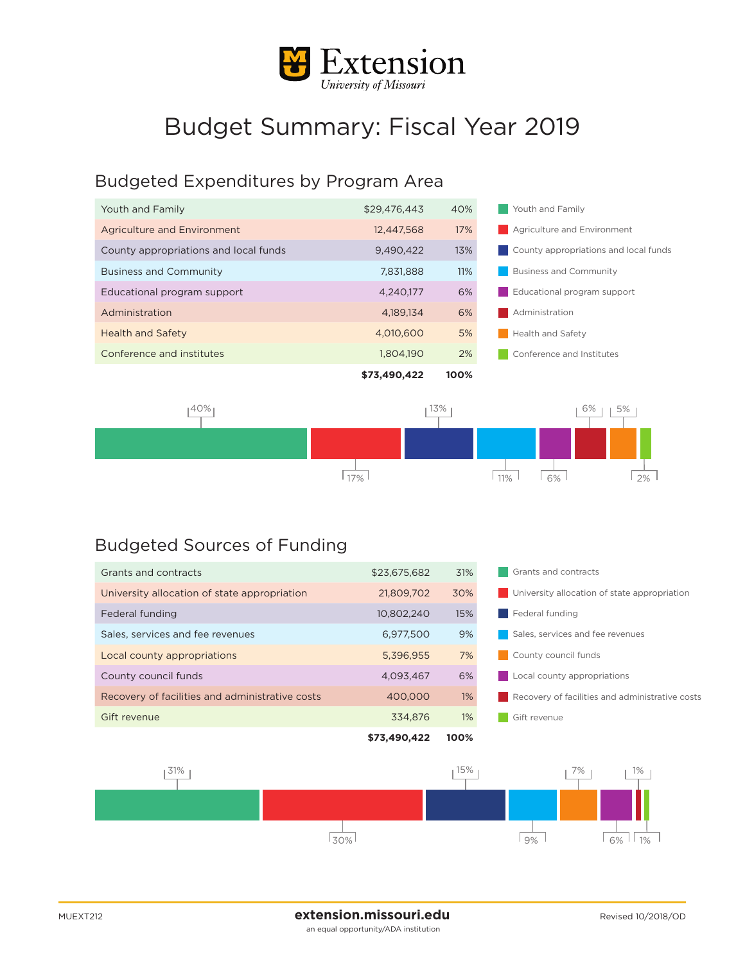

## Budget Summary: Fiscal Year 2019

## Budgeted Expenditures by Program Area

|                                       | \$73,490,422 | 100% |                                       |
|---------------------------------------|--------------|------|---------------------------------------|
| Conference and institutes             | 1.804.190    | 2%   | Conference and Institutes             |
| <b>Health and Safety</b>              | 4.010.600    | 5%   | Health and Safety                     |
| Administration                        | 4.189.134    | 6%   | Administration                        |
| Educational program support           | 4.240.177    | 6%   | Educational program support           |
| <b>Business and Community</b>         | 7.831.888    | 11%  | <b>Business and Community</b>         |
| County appropriations and local funds | 9.490.422    | 13%  | County appropriations and local funds |
| <b>Agriculture and Environment</b>    | 12,447,568   | 17%  | Agriculture and Environment           |
| Youth and Family                      | \$29,476,443 | 40%  | Youth and Family                      |



## Budgeted Sources of Funding

| Grants and contracts                            | \$23,675,682 | 31%   | Grants and contracts                            |  |
|-------------------------------------------------|--------------|-------|-------------------------------------------------|--|
| University allocation of state appropriation    | 21.809.702   | 30%   | University allocation of state appropriation    |  |
| Federal funding                                 | 10.802.240   | 15%   | Federal funding                                 |  |
| Sales, services and fee revenues                | 6.977.500    | 9%    | Sales, services and fee revenues                |  |
| Local county appropriations                     | 5,396,955    | 7%    | County council funds                            |  |
| County council funds                            | 4.093.467    | 6%    | Local county appropriations                     |  |
| Recovery of facilities and administrative costs | 400,000      | $1\%$ | Recovery of facilities and administrative costs |  |
| Gift revenue                                    | 334,876      | $1\%$ | Gift revenue                                    |  |
|                                                 | \$73,490,422 | 100%  |                                                 |  |